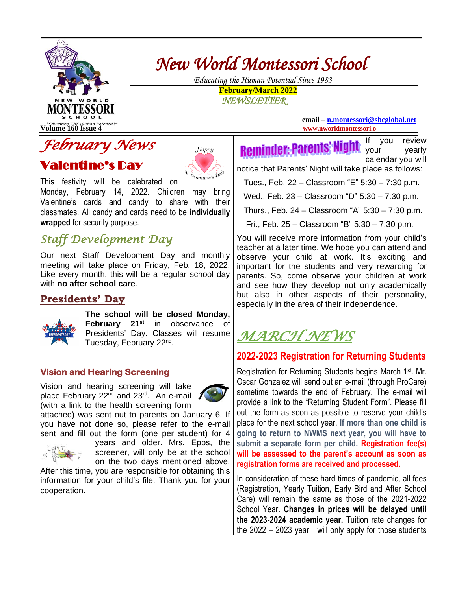

# *New World Montessori School*

 *Educating the Human Potential Since 1983*  **February/March 2022**   *NEWSLETTER*

**email – [n.montessori@sbcglobal.net](mailto:n.montessori@sbcglobal.net)** 

## ruary News

## Valentine's Day



This festivity will be celebrated on

Monday, February 14, 2022. Children may bring Valentine's cards and candy to share with their classmates. All candy and cards need to be **individually wrapped** for security purpose.

### *Staff Development Day*

Our next Staff Development Day and monthly meeting will take place on Friday, Feb. 18, 2022. Like every month, this will be a regular school day with **no after school care**.

#### **Presidents' Day**



**The school will be closed Monday, February 21st** in observance of Presidents' Day. Classes will resume Tuesday, February 22<sup>nd</sup>.

#### **Vision and Hearing Screening**

Vision and hearing screening will take place February 22<sup>nd</sup> and 23<sup>rd</sup>. An e-mail (with a link to the health screening form



attached) was sent out to parents on January 6. If you have not done so, please refer to the e-mail sent and fill out the form (one per student) for 4



years and older. Mrs. Epps, the screener, will only be at the school on the two days mentioned above.

After this time, you are responsible for obtaining this information for your child's file. Thank you for your cooperation.

**Volume 160 Issue 4 www.nworldmontessori.o** If you review

**Reminder: Parents' Nig** your yearly calendar you will notice that Parents' Night will take place as follows:

Tues., Feb. 22 – Classroom "E" 5:30 – 7:30 p.m.

Wed., Feb. 23 – Classroom "D" 5:30 – 7:30 p.m.

Thurs., Feb. 24 – Classroom "A" 5:30 – 7:30 p.m.

Fri., Feb. 25 – Classroom "B" 5:30 – 7:30 p.m.

You will receive more information from your child's teacher at a later time. We hope you can attend and observe your child at work. It's exciting and important for the students and very rewarding for parents. So, come observe your children at work and see how they develop not only academically but also in other aspects of their personality, especially in the area of their independence.

## *MARCH NEW*

#### **2022-2023 Registration for Returning Students**

Registration for Returning Students begins March 1<sup>st</sup>. Mr. Oscar Gonzalez will send out an e-mail (through ProCare) sometime towards the end of February. The e-mail will provide a link to the "Returning Student Form". Please fill out the form as soon as possible to reserve your child's place for the next school year. **If more than one child is going to return to NWMS next year, you will have to submit a separate form per child. Registration fee(s) will be assessed to the parent's account as soon as registration forms are received and processed.** 

In consideration of these hard times of pandemic, all fees (Registration, Yearly Tuition, Early Bird and After School Care) will remain the same as those of the 2021-2022 School Year. **Changes in prices will be delayed until the 2023-2024 academic year.** Tuition rate changes for the 2022 – 2023 year will only apply for those students